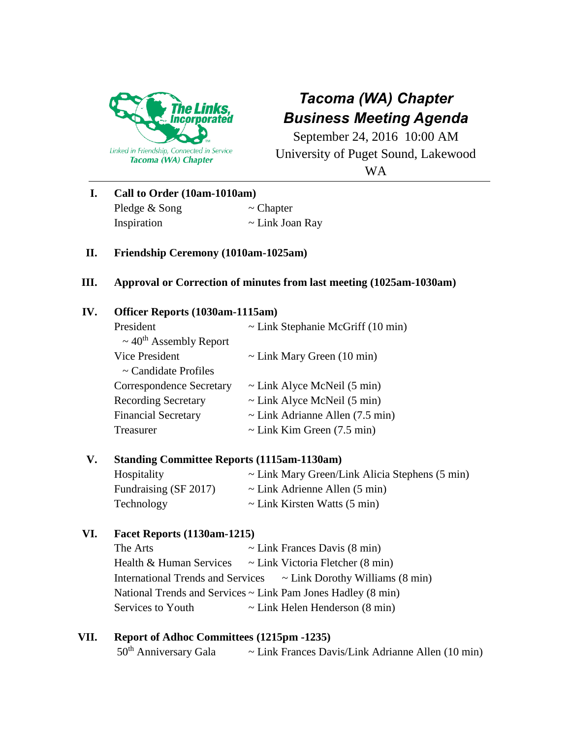

# *Tacoma (WA) Chapter Business Meeting Agenda*

September 24, 2016 10:00 AM University of Puget Sound, Lakewood

WA

| Call to Order (10am-1010am) |                      |  |
|-----------------------------|----------------------|--|
| Pledge & Song               | $\sim$ Chapter       |  |
| Inspiration                 | $\sim$ Link Joan Ray |  |

## **II. Friendship Ceremony (1010am-1025am)**

#### **III. Approval or Correction of minutes from last meeting (1025am-1030am)**

## **IV. Officer Reports (1030am-1115am)**

| President                               | $\sim$ Link Stephanie McGriff (10 min) |
|-----------------------------------------|----------------------------------------|
| $\sim$ 40 <sup>th</sup> Assembly Report |                                        |
| Vice President                          | $\sim$ Link Mary Green (10 min)        |
| $\sim$ Candidate Profiles               |                                        |
| <b>Correspondence Secretary</b>         | $\sim$ Link Alyce McNeil (5 min)       |
| <b>Recording Secretary</b>              | $\sim$ Link Alyce McNeil (5 min)       |
| <b>Financial Secretary</b>              | $\sim$ Link Adrianne Allen (7.5 min)   |
| Treasurer                               | $\sim$ Link Kim Green (7.5 min)        |

# **V. Standing Committee Reports (1115am-1130am)**

| Hospitality           | $\sim$ Link Mary Green/Link Alicia Stephens (5 min) |
|-----------------------|-----------------------------------------------------|
| Fundraising (SF 2017) | $\sim$ Link Adrienne Allen (5 min)                  |
| Technology            | $\sim$ Link Kirsten Watts (5 min)                   |

## **VI. Facet Reports (1130am-1215)**

| The Arts                                                          | $\sim$ Link Frances Davis (8 min)     |  |  |
|-------------------------------------------------------------------|---------------------------------------|--|--|
| Health & Human Services                                           | $\sim$ Link Victoria Fletcher (8 min) |  |  |
| <b>International Trends and Services</b>                          | $\sim$ Link Dorothy Williams (8 min)  |  |  |
| National Trends and Services $\sim$ Link Pam Jones Hadley (8 min) |                                       |  |  |
| Services to Youth                                                 | $\sim$ Link Helen Henderson (8 min)   |  |  |

#### **VII. Report of Adhoc Committees (1215pm -1235)**